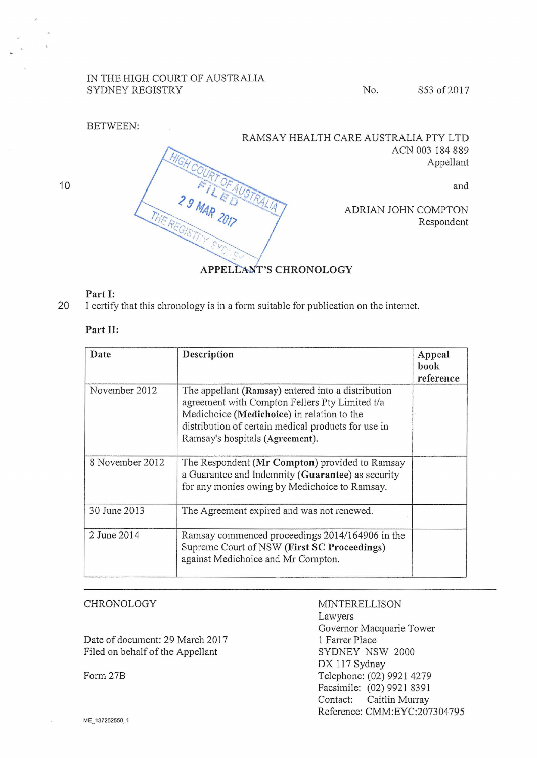## IN THE HIGH COURT OF AUSTRALIA SYDNEY REGISTRY No. S53 of 2017

BETWEEN: RAMSAY HEALTH CARE AUSTRALIA PTY LTD ACN003184889 Appellant and **29 MAR 2017** ADRIAN JOHN COMPTON Respondent

## APPELLANT'S CHRONOLOGY

## Part 1:

10

20 I certify that this chronology is in a fonn suitable for publication on the intemet.

## Part II:

| Date            | Description                                                                                                                                                                                                                                  | Appeal<br>book<br>reference |
|-----------------|----------------------------------------------------------------------------------------------------------------------------------------------------------------------------------------------------------------------------------------------|-----------------------------|
| November 2012   | The appellant (Ramsay) entered into a distribution<br>agreement with Compton Fellers Pty Limited t/a<br>Medichoice (Medichoice) in relation to the<br>distribution of certain medical products for use in<br>Ramsay's hospitals (Agreement). |                             |
| 8 November 2012 | The Respondent (Mr Compton) provided to Ramsay<br>a Guarantee and Indemnity (Guarantee) as security<br>for any monies owing by Medichoice to Ramsay.                                                                                         |                             |
| 30 June 2013    | The Agreement expired and was not renewed.                                                                                                                                                                                                   |                             |
| 2 June 2014     | Ramsay commenced proceedings 2014/164906 in the<br>Supreme Court of NSW (First SC Proceedings)<br>against Medichoice and Mr Compton.                                                                                                         |                             |

| CHRONOLOGY                       | <b>MINTERELLISON</b>         |
|----------------------------------|------------------------------|
|                                  | Lawyers                      |
|                                  | Governor Macquarie Tower     |
| Date of document: 29 March 2017  | 1 Farrer Place               |
| Filed on behalf of the Appellant | SYDNEY NSW 2000              |
|                                  | DX 117 Sydney                |
| Form 27B                         | Telephone: (02) 9921 4279    |
|                                  | Facsimile: (02) 9921 8391    |
|                                  | Contact: Caitlin Murray      |
|                                  | Reference: CMM:EYC:207304795 |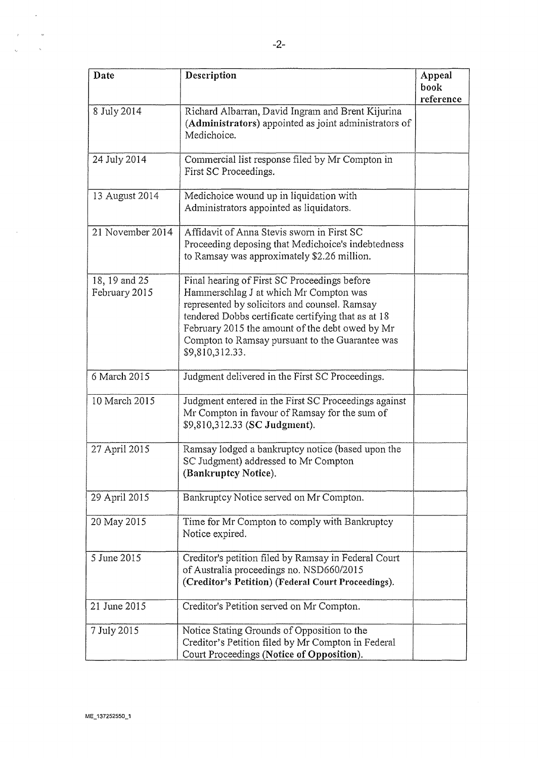| Date                           | Description                                                                                                                                                                                                                                                                                                             | Appeal<br>book |
|--------------------------------|-------------------------------------------------------------------------------------------------------------------------------------------------------------------------------------------------------------------------------------------------------------------------------------------------------------------------|----------------|
|                                |                                                                                                                                                                                                                                                                                                                         | reference      |
| 8 July 2014                    | Richard Albarran, David Ingram and Brent Kijurina<br>(Administrators) appointed as joint administrators of<br>Medichoice.                                                                                                                                                                                               |                |
| 24 July 2014                   | Commercial list response filed by Mr Compton in<br>First SC Proceedings.                                                                                                                                                                                                                                                |                |
| 13 August 2014                 | Medichoice wound up in liquidation with<br>Administrators appointed as liquidators.                                                                                                                                                                                                                                     |                |
| 21 November 2014               | Affidavit of Anna Stevis sworn in First SC<br>Proceeding deposing that Medichoice's indebtedness<br>to Ramsay was approximately \$2.26 million.                                                                                                                                                                         |                |
| 18, 19 and 25<br>February 2015 | Final hearing of First SC Proceedings before<br>Hammerschlag J at which Mr Compton was<br>represented by solicitors and counsel. Ramsay<br>tendered Dobbs certificate certifying that as at 18<br>February 2015 the amount of the debt owed by Mr<br>Compton to Ramsay pursuant to the Guarantee was<br>\$9,810,312.33. |                |
| 6 March 2015                   | Judgment delivered in the First SC Proceedings.                                                                                                                                                                                                                                                                         |                |
| 10 March 2015                  | Judgment entered in the First SC Proceedings against<br>Mr Compton in favour of Ramsay for the sum of<br>\$9,810,312.33 (SC Judgment).                                                                                                                                                                                  |                |
| 27 April 2015                  | Ramsay lodged a bankruptcy notice (based upon the<br>SC Judgment) addressed to Mr Compton<br>(Bankruptcy Notice).                                                                                                                                                                                                       |                |
| 29 April 2015                  | Bankruptcy Notice served on Mr Compton.                                                                                                                                                                                                                                                                                 |                |
| 20 May 2015                    | Time for Mr Compton to comply with Bankruptcy<br>Notice expired.                                                                                                                                                                                                                                                        |                |
| 5 June 2015                    | Creditor's petition filed by Ramsay in Federal Court<br>of Australia proceedings no. NSD660/2015<br>(Creditor's Petition) (Federal Court Proceedings).                                                                                                                                                                  |                |
| 21 June 2015                   | Creditor's Petition served on Mr Compton.                                                                                                                                                                                                                                                                               |                |
| 7 July 2015                    | Notice Stating Grounds of Opposition to the<br>Creditor's Petition filed by Mr Compton in Federal<br>Court Proceedings (Notice of Opposition).                                                                                                                                                                          |                |

 $\hat{\mathcal{L}}$ 

 $\omega$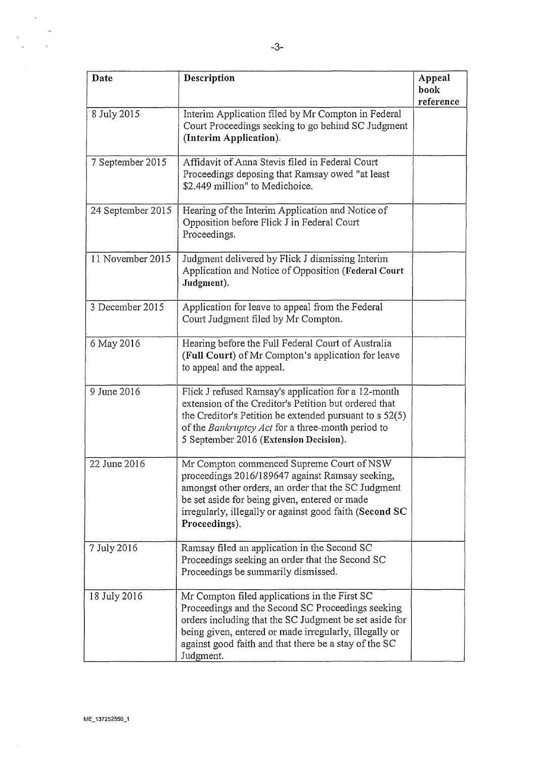| Date              | Description                                                                                                                                                                                                                                                                                  | Appeal<br>book<br>reference |
|-------------------|----------------------------------------------------------------------------------------------------------------------------------------------------------------------------------------------------------------------------------------------------------------------------------------------|-----------------------------|
| 8 July 2015       | Interim Application filed by Mr Compton in Federal<br>Court Proceedings seeking to go behind SC Judgment<br>(Interim Application).                                                                                                                                                           |                             |
| 7 September 2015  | Affidavit of Anna Stevis filed in Federal Court<br>Proceedings deposing that Ramsay owed "at least<br>\$2.449 million" to Medichoice.                                                                                                                                                        |                             |
| 24 September 2015 | Hearing of the Interim Application and Notice of<br>Opposition before Flick J in Federal Court<br>Proceedings.                                                                                                                                                                               |                             |
| 11 November 2015  | Judgment delivered by Flick J dismissing Interim<br>Application and Notice of Opposition (Federal Court<br>Judgment).                                                                                                                                                                        |                             |
| 3 December 2015   | Application for leave to appeal from the Federal<br>Court Judgment filed by Mr Compton.                                                                                                                                                                                                      |                             |
| 6 May 2016        | Hearing before the Full Federal Court of Australia<br>(Full Court) of Mr Compton's application for leave<br>to appeal and the appeal.                                                                                                                                                        |                             |
| 9 June 2016       | Flick J refused Ramsay's application for a 12-month<br>extension of the Creditor's Petition but ordered that<br>the Creditor's Petition be extended pursuant to $s$ 52(5)<br>of the Bankruptcy Act for a three-month period to<br>5 September 2016 (Extension Decision).                     |                             |
| 22 June 2016      | Mr Compton commenced Supreme Court of NSW<br>proceedings 2016/189647 against Ramsay seeking,<br>amongst other orders, an order that the SC Judgment<br>be set aside for being given, entered or made<br>irregularly, illegally or against good faith (Second SC<br>Proceedings).             |                             |
| 7 July 2016       | Ramsay filed an application in the Second SC<br>Proceedings seeking an order that the Second SC<br>Proceedings be summarily dismissed.                                                                                                                                                       |                             |
| 18 July 2016      | Mr Compton filed applications in the First SC<br>Proceedings and the Second SC Proceedings seeking<br>orders including that the SC Judgment be set aside for<br>being given, entered or made irregularly, illegally or<br>against good faith and that there be a stay of the SC<br>Judgment. |                             |

 $\label{eq:2} \frac{1}{\sqrt{2\pi}}\int_{0}^{\infty}\frac{dx}{\sqrt{2\pi}}\,dx$